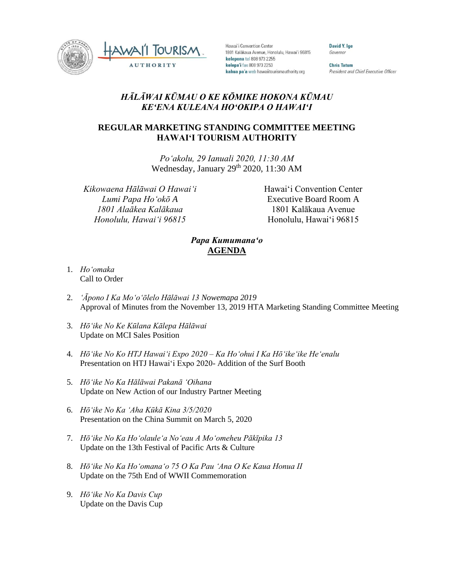



Hawai'i Convention Center 1801 Kalākaua Avenue, Honolulu, Hawai'i 96815 kelepona tel 808 973 2255 kelepa'i fax 808 973 2253 kahua pa'a web hawaiitourismauthority.org

**David Y. Ige** Governor

**Chris Tatum** President and Chief Executive Officer

## *HĀLĀWAI KŪMAU O KE KŌMIKE HOKONA KŪMAU KEʻENA KULEANA HOʻOKIPA O HAWAIʻI*

## **REGULAR MARKETING STANDING COMMITTEE MEETING HAWAI'I TOURISM AUTHORITY**

*Poʻakolu, 29 Ianuali 2020, 11:30 AM* Wednesday, January 29th 2020, 11:30 AM

*Kikowaena Hālāwai O Hawaiʻi Lumi Papa Hoʻokō A 1801 Alaākea Kalākaua Honolulu, Hawaiʻi 96815*

Hawai'i Convention Center Executive Board Room A 1801 Kalākaua Avenue Honolulu, Hawai'i 96815

## *Papa Kumumanaʻo* **AGENDA**

- 1. *Hoʻomaka* Call to Order
- 2. *ʻĀpono I Ka Moʻoʻōlelo Hālāwai 13 Nowemapa 2019* Approval of Minutes from the November 13, 2019 HTA Marketing Standing Committee Meeting
- 3. *Hōʻike No Ke Kūlana Kālepa Hālāwai* Update on MCI Sales Position
- 4. *Hōʻike No Ko HTJ Hawaiʻi Expo 2020 – Ka Hoʻohui I Ka Hōʻikeʻike Heʻenalu* Presentation on HTJ Hawai'i Expo 2020- Addition of the Surf Booth
- 5. *Hōʻike No Ka Hālāwai Pakanā ʻOihana* Update on New Action of our Industry Partner Meeting
- 6. *Hōʻike No Ka ʻAha Kūkā Kina 3/5/2020* Presentation on the China Summit on March 5, 2020
- 7. *Hōʻike No Ka Hoʻolauleʻa Noʻeau A Moʻomeheu Pākīpika 13* Update on the 13th Festival of Pacific Arts & Culture
- 8. *Hōʻike No Ka Hoʻomanaʻo 75 O Ka Pau ʻAna O Ke Kaua Honua II* Update on the 75th End of WWII Commemoration
- 9. *Hōʻike No Ka Davis Cup* Update on the Davis Cup